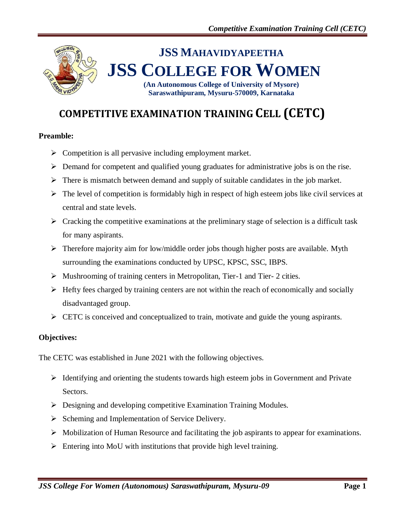# **JSS MAHAVIDYAPEETHA JSS COLLEGE FOR WOMEN (An Autonomous College of University of Mysore)**

**Saraswathipuram, Mysuru-570009, Karnataka**

**COMPETITIVE EXAMINATION TRAINING CELL (CETC)**

### **Preamble:**

- $\triangleright$  Competition is all pervasive including employment market.
- $\triangleright$  Demand for competent and qualified young graduates for administrative jobs is on the rise.
- $\triangleright$  There is mismatch between demand and supply of suitable candidates in the job market.
- $\triangleright$  The level of competition is formidably high in respect of high esteem jobs like civil services at central and state levels.
- $\triangleright$  Cracking the competitive examinations at the preliminary stage of selection is a difficult task for many aspirants.
- $\triangleright$  Therefore majority aim for low/middle order jobs though higher posts are available. Myth surrounding the examinations conducted by UPSC, KPSC, SSC, IBPS.
- Mushrooming of training centers in Metropolitan, Tier-1 and Tier- 2 cities.
- $\triangleright$  Hefty fees charged by training centers are not within the reach of economically and socially disadvantaged group.
- $\triangleright$  CETC is conceived and conceptualized to train, motivate and guide the young aspirants.

#### **Objectives:**

The CETC was established in June 2021 with the following objectives.

- $\triangleright$  Identifying and orienting the students towards high esteem jobs in Government and Private Sectors.
- Designing and developing competitive Examination Training Modules.
- $\triangleright$  Scheming and Implementation of Service Delivery.
- $\triangleright$  Mobilization of Human Resource and facilitating the job aspirants to appear for examinations.
- $\triangleright$  Entering into MoU with institutions that provide high level training.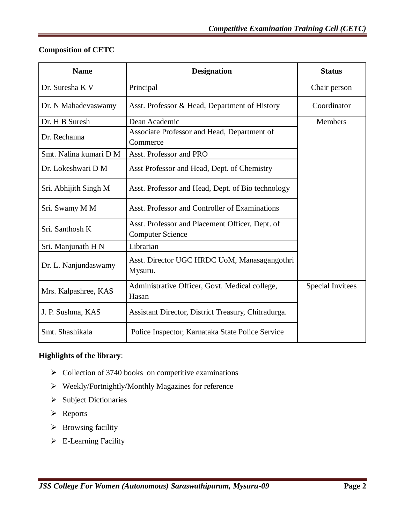### **Composition of CETC**

| <b>Name</b>            | <b>Designation</b>                                                         | <b>Status</b>           |
|------------------------|----------------------------------------------------------------------------|-------------------------|
| Dr. Suresha K V        | Principal                                                                  | Chair person            |
| Dr. N Mahadevaswamy    | Asst. Professor & Head, Department of History                              | Coordinator             |
| Dr. H B Suresh         | Dean Academic                                                              | Members                 |
| Dr. Rechanna           | Associate Professor and Head, Department of<br>Commerce                    |                         |
| Smt. Nalina kumari D M | Asst. Professor and PRO                                                    |                         |
| Dr. Lokeshwari D M     | Asst Professor and Head, Dept. of Chemistry                                |                         |
| Sri. Abhijith Singh M  | Asst. Professor and Head, Dept. of Bio technology                          |                         |
| Sri. Swamy M M         | Asst. Professor and Controller of Examinations                             |                         |
| Sri. Santhosh K        | Asst. Professor and Placement Officer, Dept. of<br><b>Computer Science</b> |                         |
| Sri. Manjunath H N     | Librarian                                                                  |                         |
| Dr. L. Nanjundaswamy   | Asst. Director UGC HRDC UoM, Manasagangothri<br>Mysuru.                    |                         |
| Mrs. Kalpashree, KAS   | Administrative Officer, Govt. Medical college,<br>Hasan                    | <b>Special Invitees</b> |
| J. P. Sushma, KAS      | Assistant Director, District Treasury, Chitradurga.                        |                         |
| Smt. Shashikala        | Police Inspector, Karnataka State Police Service                           |                         |

### **Highlights of the library**:

- $\triangleright$  Collection of 3740 books on competitive examinations
- Weekly/Fortnightly/Monthly Magazines for reference
- $\triangleright$  Subject Dictionaries
- > Reports
- $\triangleright$  Browsing facility
- E-Learning Facility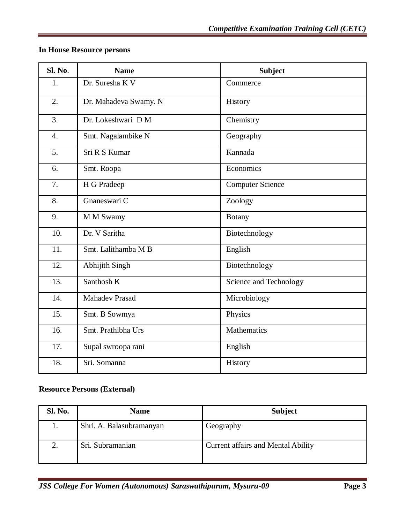### **In House Resource persons**

| SI. No.          | <b>Name</b>           | <b>Subject</b>          |
|------------------|-----------------------|-------------------------|
| 1.               | Dr. Suresha K V       | Commerce                |
| $\overline{2}$ . | Dr. Mahadeva Swamy. N | History                 |
| $\overline{3}$ . | Dr. Lokeshwari D M    | Chemistry               |
| $\overline{4}$ . | Smt. Nagalambike N    | Geography               |
| 5 <sub>1</sub>   | Sri R S Kumar         | Kannada                 |
| 6.               | Smt. Roopa            | Economics               |
| 7.               | H G Pradeep           | <b>Computer Science</b> |
| 8.               | Gnaneswari C          | Zoology                 |
| 9.               | M M Swamy             | <b>Botany</b>           |
| 10.              | Dr. V Saritha         | Biotechnology           |
| 11.              | Smt. Lalithamba M B   | English                 |
| 12.              | Abhijith Singh        | Biotechnology           |
| 13.              | Santhosh K            | Science and Technology  |
| 14.              | <b>Mahadev Prasad</b> | Microbiology            |
| 15.              | Smt. B Sowmya         | Physics                 |
| 16.              | Smt. Prathibha Urs    | <b>Mathematics</b>      |
| 17.              | Supal swroopa rani    | English                 |
| 18.              | Sri. Somanna          | History                 |

## **Resource Persons (External)**

| Sl. No. | <b>Name</b>              | <b>Subject</b>                            |
|---------|--------------------------|-------------------------------------------|
|         | Shri. A. Balasubramanyan | Geography                                 |
|         | Sri. Subramanian         | <b>Current affairs and Mental Ability</b> |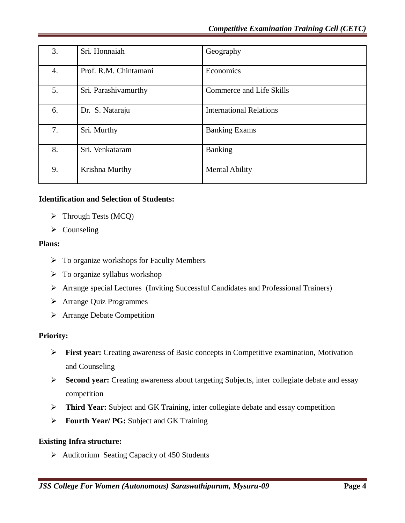| 3. | Sri. Honnaiah         | Geography                       |
|----|-----------------------|---------------------------------|
| 4. | Prof. R.M. Chintamani | Economics                       |
| 5. | Sri. Parashivamurthy  | <b>Commerce and Life Skills</b> |
| 6. | Dr. S. Nataraju       | <b>International Relations</b>  |
| 7. | Sri. Murthy           | <b>Banking Exams</b>            |
| 8. | Sri. Venkataram       | <b>Banking</b>                  |
| 9. | Krishna Murthy        | Mental Ability                  |

### **Identification and Selection of Students:**

- $\triangleright$  Through Tests (MCQ)
- $\triangleright$  Counseling

### **Plans:**

- $\triangleright$  To organize workshops for Faculty Members
- $\triangleright$  To organize syllabus workshop
- Arrange special Lectures (Inviting Successful Candidates and Professional Trainers)
- Arrange Quiz Programmes
- > Arrange Debate Competition

### **Priority:**

- **First year:** Creating awareness of Basic concepts in Competitive examination, Motivation and Counseling
- **Second year:** Creating awareness about targeting Subjects, inter collegiate debate and essay competition
- **Third Year:** Subject and GK Training, inter collegiate debate and essay competition
- **Fourth Year/ PG:** Subject and GK Training

### **Existing Infra structure:**

 $\triangleright$  Auditorium Seating Capacity of 450 Students